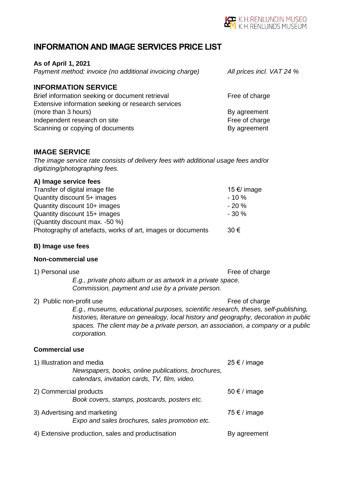

*Payment method: invoice (no additional invoicing charge) All prices incl. VAT 24 %*

# **INFORMATION AND IMAGE SERVICES PRICE LIST**

#### **As of April 1, 2021**

| Payment method: invoice (no additional invoicing charge) |  |
|----------------------------------------------------------|--|

### **INFORMATION SERVICE**

| Brief information seeking or document retrieval    | Free of charge |
|----------------------------------------------------|----------------|
| Extensive information seeking or research services |                |
| (more than 3 hours)                                | By agreement   |
| Independent research on site                       | Free of charge |
| Scanning or copying of documents                   | By agreement   |

# **IMAGE SERVICE**

*The image service rate consists of delivery fees with additional usage fees and/or digitizing/photographing fees.*

# **A) Image service fees**

| Transfer of digital image file                              | 15 €/ image |
|-------------------------------------------------------------|-------------|
| Quantity discount 5+ images                                 | $-10\%$     |
| Quantity discount 10+ images                                | $-20%$      |
| Quantity discount 15+ images                                | $-30%$      |
| (Quantity discount max. -50 %)                              |             |
| Photography of artefacts, works of art, images or documents | $30 \in$    |

#### **B) Image use fees**

### **Non-commercial use**

1) Personal use Free of charge

*E.g., private photo album or as artwork in a private space. Commission, payment and use by a private person.*

2) Public non-profit use Free of charge

*E.g., museums, educational purposes, scientific research, theses, self-publishing, histories, literature on genealogy, local history and geography, decoration in public spaces. The client may be a private person, an association, a company or a public corporation.*

#### **Commercial use**

| 1) Illustration and media    | Newspapers, books, online publications, brochures,<br>calendars, invitation cards, TV, film, video. | $25 \notin$ / image       |
|------------------------------|-----------------------------------------------------------------------------------------------------|---------------------------|
| 2) Commercial products       | Book covers, stamps, postcards, posters etc.                                                        | $50 \text{ } \in$ / image |
| 3) Advertising and marketing | Expo and sales brochures, sales promotion etc.                                                      | 75 € / image              |
|                              | 4) Extensive production, sales and productisation                                                   | By agreement              |